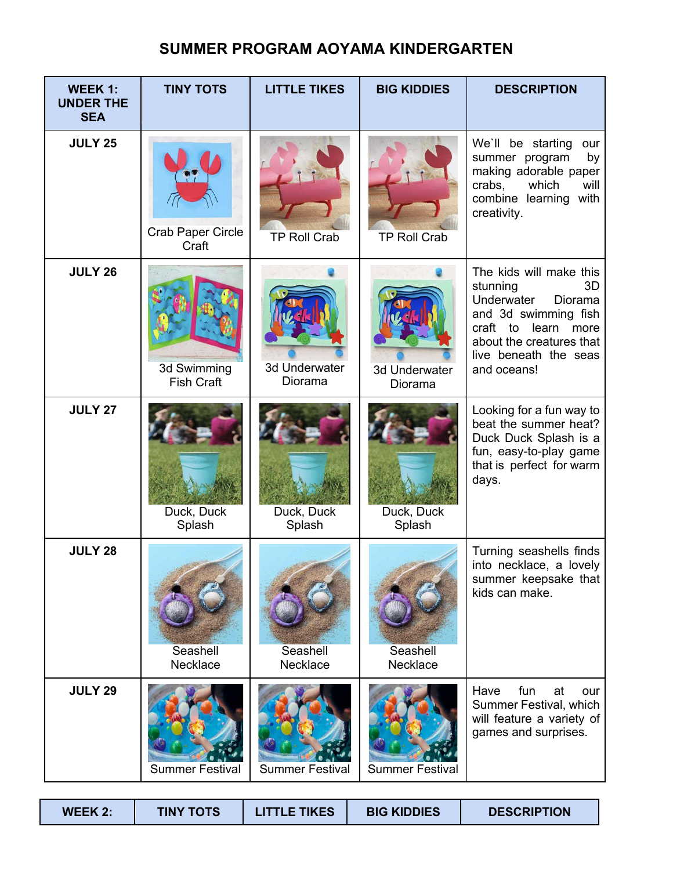## **SUMMER PROGRAM AOYAMA KINDERGARTEN**

| WEEK 1:<br><b>UNDER THE</b><br><b>SEA</b> | <b>TINY TOTS</b>                  | <b>LITTLE TIKES</b>      | <b>BIG KIDDIES</b>       | <b>DESCRIPTION</b>                                                                                                                                                                          |
|-------------------------------------------|-----------------------------------|--------------------------|--------------------------|---------------------------------------------------------------------------------------------------------------------------------------------------------------------------------------------|
| <b>JULY 25</b>                            | <b>Crab Paper Circle</b><br>Craft | <b>TP Roll Crab</b>      | <b>TP Roll Crab</b>      | We'll be starting<br>our<br>summer program<br>by<br>making adorable paper<br>crabs,<br>which<br>will<br>combine learning<br>with<br>creativity.                                             |
| <b>JULY 26</b>                            | 3d Swimming<br><b>Fish Craft</b>  | 3d Underwater<br>Diorama | 3d Underwater<br>Diorama | The kids will make this<br>stunning<br>3D<br>Underwater<br>Diorama<br>and 3d swimming fish<br>craft to<br>learn<br>more<br>about the creatures that<br>live beneath the seas<br>and oceans! |
| <b>JULY 27</b>                            | Duck, Duck<br>Splash              | Duck, Duck<br>Splash     | Duck, Duck<br>Splash     | Looking for a fun way to<br>beat the summer heat?<br>Duck Duck Splash is a<br>fun, easy-to-play game<br>that is perfect for warm<br>days.                                                   |
| <b>JULY 28</b>                            | Seashell<br>Necklace              | Seashell<br>Necklace     | Seashell<br>Necklace     | Turning seashells finds<br>into necklace, a lovely<br>summer keepsake that<br>kids can make.                                                                                                |
| <b>JULY 29</b>                            | <b>Summer Festival</b>            | <b>Summer Festival</b>   | <b>Summer Festival</b>   | Have<br>fun<br>at<br>our<br>Summer Festival, which<br>will feature a variety of<br>games and surprises.                                                                                     |

| <b>WEEK 2:</b> | <b>TINY TOTS</b> | LITTLE TIKES | <b>BIG KIDDIES</b> | <b>DESCRIPTION</b> |
|----------------|------------------|--------------|--------------------|--------------------|
|----------------|------------------|--------------|--------------------|--------------------|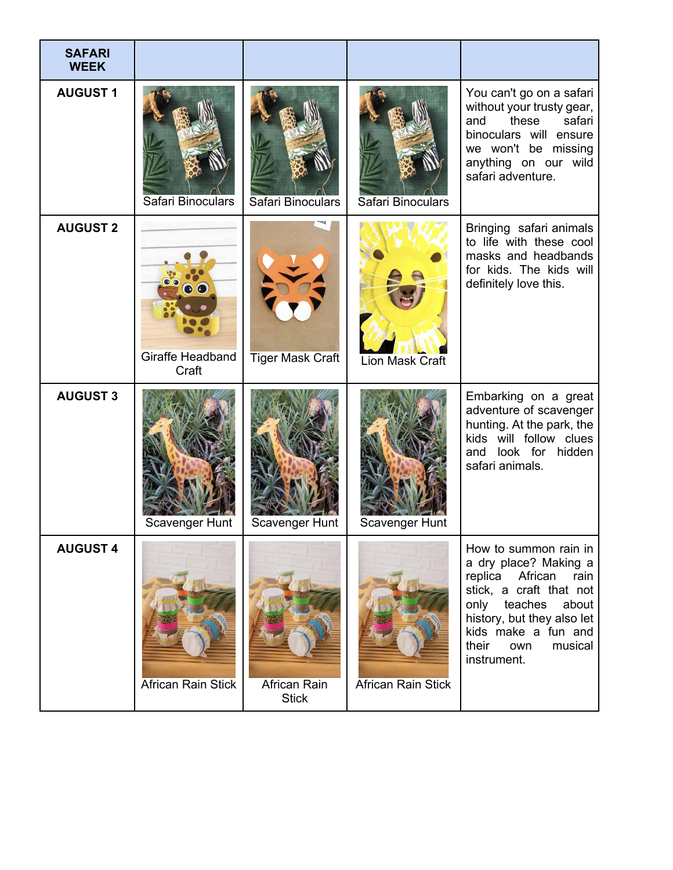| <b>SAFARI</b><br><b>WEEK</b> |                           |                              |                           |                                                                                                                                                                                                                                    |
|------------------------------|---------------------------|------------------------------|---------------------------|------------------------------------------------------------------------------------------------------------------------------------------------------------------------------------------------------------------------------------|
| <b>AUGUST1</b>               | Safari Binoculars         | Safari Binoculars            | Safari Binoculars         | You can't go on a safari<br>without your trusty gear,<br>safari<br>these<br>and<br>binoculars will ensure<br>we won't be missing<br>anything on our wild<br>safari adventure.                                                      |
| <b>AUGUST 2</b>              | Giraffe Headband<br>Craft | <b>Tiger Mask Craft</b>      | <b>Lion Mask Craft</b>    | Bringing safari animals<br>to life with these cool<br>masks and headbands<br>for kids. The kids will<br>definitely love this.                                                                                                      |
| <b>AUGUST 3</b>              | Scavenger Hunt            | Scavenger Hunt               | Scavenger Hunt            | Embarking on a great<br>adventure of scavenger<br>hunting. At the park, the<br>kids will follow clues<br>and look for hidden<br>safari animals.                                                                                    |
| <b>AUGUST 4</b>              | <b>African Rain Stick</b> | African Rain<br><b>Stick</b> | <b>African Rain Stick</b> | How to summon rain in<br>a dry place? Making a<br>replica<br>African<br>rain<br>stick, a craft that not<br>teaches<br>about<br>only<br>history, but they also let<br>kids make a fun and<br>their<br>own<br>musical<br>instrument. |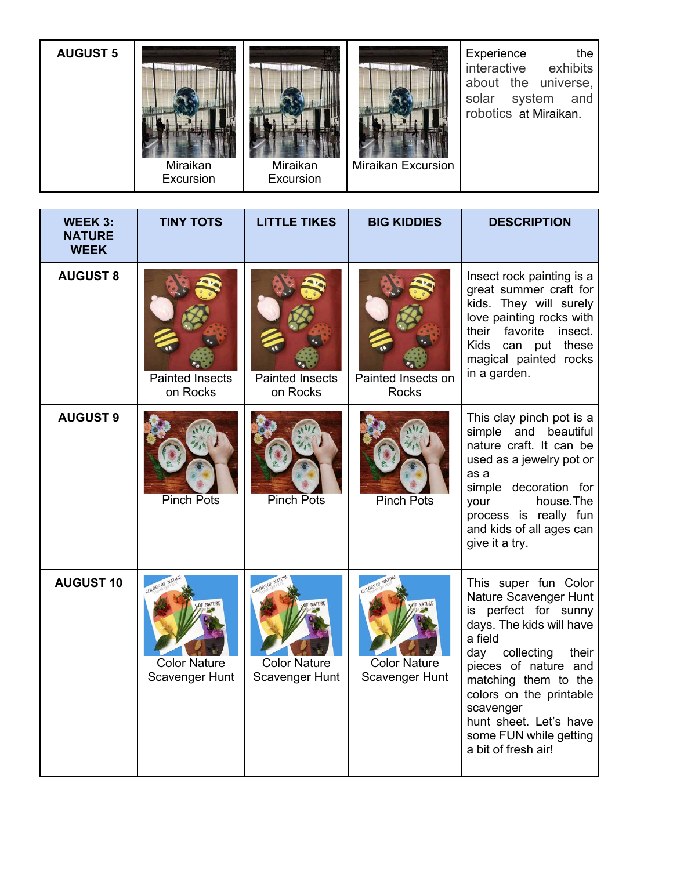| <b>AUGUST 5</b> | Miraikan<br>Excursion | Miraikan<br>Excursion | <b>Miraikan Excursion</b> | Experience<br>the<br>interactive exhibits<br>about the universe,<br>solar system and<br>robotics at Miraikan. |
|-----------------|-----------------------|-----------------------|---------------------------|---------------------------------------------------------------------------------------------------------------|
|-----------------|-----------------------|-----------------------|---------------------------|---------------------------------------------------------------------------------------------------------------|

| <b>WEEK 3:</b><br><b>NATURE</b><br><b>WEEK</b> | <b>TINY TOTS</b>                                                | <b>LITTLE TIKES</b>                   | <b>BIG KIDDIES</b>                                 | <b>DESCRIPTION</b>                                                                                                                                                                                                                                                                                            |
|------------------------------------------------|-----------------------------------------------------------------|---------------------------------------|----------------------------------------------------|---------------------------------------------------------------------------------------------------------------------------------------------------------------------------------------------------------------------------------------------------------------------------------------------------------------|
| <b>AUGUST 8</b>                                | <b>Painted Insects</b><br>on Rocks                              | <b>Painted Insects</b><br>on Rocks    | Painted Insects on<br><b>Rocks</b>                 | Insect rock painting is a<br>great summer craft for<br>kids. They will surely<br>love painting rocks with<br>their favorite insect.<br>Kids can put these<br>magical painted rocks<br>in a garden.                                                                                                            |
| <b>AUGUST 9</b>                                | <b>Pinch Pots</b>                                               | <b>Pinch Pots</b>                     | <b>Pinch Pots</b>                                  | This clay pinch pot is a<br>simple and beautiful<br>nature craft. It can be<br>used as a jewelry pot or<br>as a<br>simple decoration for<br>house.The<br>your<br>process is really fun<br>and kids of all ages can<br>give it a try.                                                                          |
| <b>AUGUST 10</b>                               | COLORS OF NA<br>NATURE<br><b>Color Nature</b><br>Scavenger Hunt | <b>Color Nature</b><br>Scavenger Hunt | COLORS OF<br><b>Color Nature</b><br>Scavenger Hunt | This super fun Color<br>Nature Scavenger Hunt<br>is perfect for sunny<br>days. The kids will have<br>a field<br>collecting<br>day<br>their<br>pieces of nature and<br>matching them to the<br>colors on the printable<br>scavenger<br>hunt sheet. Let's have<br>some FUN while getting<br>a bit of fresh air! |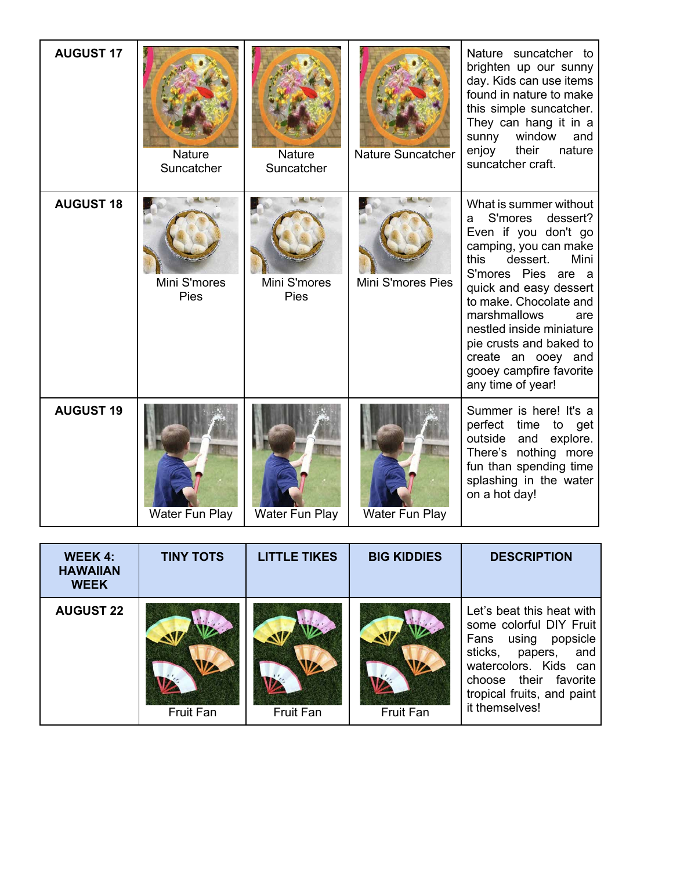| <b>AUGUST 17</b> | <b>Nature</b><br>Suncatcher | Nature<br>Suncatcher | Nature Suncatcher | Nature suncatcher to<br>brighten up our sunny<br>day. Kids can use items<br>found in nature to make<br>this simple suncatcher.<br>They can hang it in a<br>sunny<br>window<br>and<br>enjoy<br>their<br>nature<br>suncatcher craft.                                                                                                                            |
|------------------|-----------------------------|----------------------|-------------------|---------------------------------------------------------------------------------------------------------------------------------------------------------------------------------------------------------------------------------------------------------------------------------------------------------------------------------------------------------------|
| <b>AUGUST 18</b> | Mini S'mores<br>Pies        | Mini S'mores<br>Pies | Mini S'mores Pies | What is summer without<br>S'mores<br>dessert?<br>a<br>Even if you don't go<br>camping, you can make<br>Mini<br>this<br>dessert.<br>S'mores Pies are a<br>quick and easy dessert<br>to make. Chocolate and<br>marshmallows<br>are<br>nestled inside miniature<br>pie crusts and baked to<br>create an ooey and<br>gooey campfire favorite<br>any time of year! |
| <b>AUGUST 19</b> | Water Fun Play              | Water Fun Play       | Water Fun Play    | Summer is here! It's a<br>perfect<br>time to get<br>outside<br>and<br>explore.<br>There's nothing more<br>fun than spending time<br>splashing in the water<br>on a hot day!                                                                                                                                                                                   |

| <b>WEEK 4:</b><br><b>HAWAIIAN</b><br><b>WEEK</b> | <b>TINY TOTS</b> | <b>LITTLE TIKES</b> | <b>BIG KIDDIES</b> | <b>DESCRIPTION</b>                                                                                                                                                                                      |
|--------------------------------------------------|------------------|---------------------|--------------------|---------------------------------------------------------------------------------------------------------------------------------------------------------------------------------------------------------|
| <b>AUGUST 22</b>                                 | Fruit Fan        | Fruit Fan           | Fruit Fan          | Let's beat this heat with<br>some colorful DIY Fruit<br>Fans using popsicle<br>sticks,<br>papers, and<br>watercolors. Kids can<br>choose their favorite<br>tropical fruits, and paint<br>it themselves! |